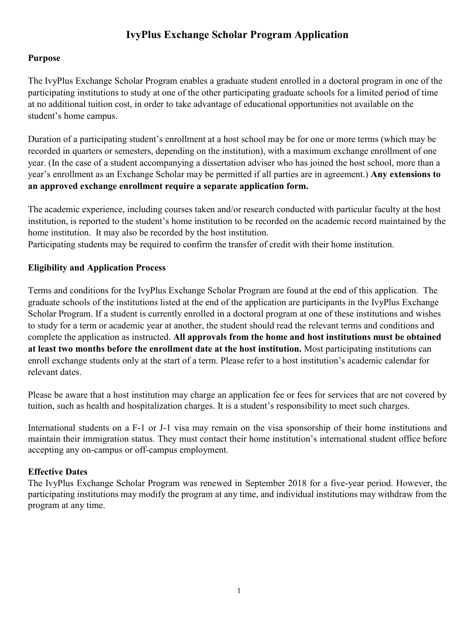# **IvyPlus Exchange Scholar Program Application**

# **Purpose**

The IvyPlus Exchange Scholar Program enables a graduate student enrolled in a doctoral program in one of the participating institutions to study at one of the other participating graduate schools for a limited period of time at no additional tuition cost, in order to take advantage of educational opportunities not available on the student's home campus.

Duration of a participating student's enrollment at a host school may be for one or more terms (which may be recorded in quarters or semesters, depending on the institution), with a maximum exchange enrollment of one year. (In the case of a student accompanying a dissertation adviser who has joined the host school, more than a year's enrollment as an Exchange Scholar may be permitted if all parties are in agreement.) **Any extensions to an approved exchange enrollment require a separate application form.** 

The academic experience, including courses taken and/or research conducted with particular faculty at the host institution, is reported to the student's home institution to be recorded on the academic record maintained by the home institution. It may also be recorded by the host institution.

Participating students may be required to confirm the transfer of credit with their home institution.

# **Eligibility and Application Process**

Terms and conditions for the IvyPlus Exchange Scholar Program are found at the end of this application. The graduate schools of the institutions listed at the end of the application are participants in the IvyPlus Exchange Scholar Program. If a student is currently enrolled in a doctoral program at one of these institutions and wishes to study for a term or academic year at another, the student should read the relevant terms and conditions and complete the application as instructed. **All approvals from the home and host institutions must be obtained at least two months before the enrollment date at the host institution.** Most participating institutions can enroll exchange students only at the start of a term. Please refer to a host institution's academic calendar for relevant dates.

Please be aware that a host institution may charge an application fee or fees for services that are not covered by tuition, such as health and hospitalization charges. It is a student's responsibility to meet such charges.

International students on a F-1 or J-1 visa may remain on the visa sponsorship of their home institutions and maintain their immigration status. They must contact their home institution's international student office before accepting any on-campus or off-campus employment.

# **Effective Dates**

The IvyPlus Exchange Scholar Program was renewed in September 2018 for a five-year period. However, the participating institutions may modify the program at any time, and individual institutions may withdraw from the program at any time.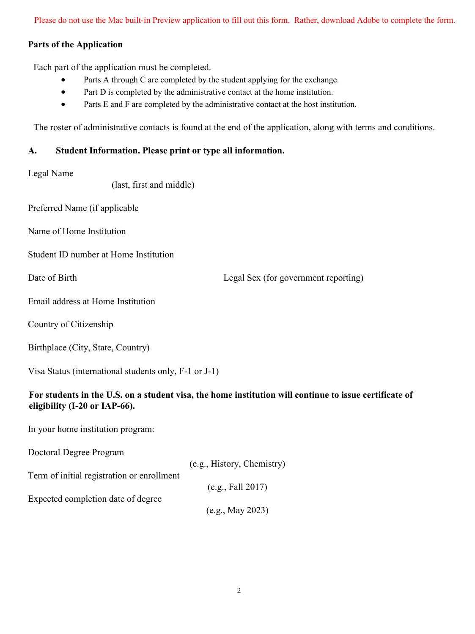Please do not use the Mac built-in Preview application to fill out this form. Rather, download Adobe to complete the form.

## **Parts of the Application**

Each part of the application must be completed.

- Parts A through C are completed by the student applying for the exchange.
- Part D is completed by the administrative contact at the home institution.
- Parts E and F are completed by the administrative contact at the host institution.

The roster of administrative contacts is found at the end of the application, along with terms and conditions.

# **A. Student Information. Please print or type all information.**

#### Legal Name

(last, first and middle)

Preferred Name (if applicable

Name of Home Institution

Student ID number at Home Institution

Date of Birth Legal Sex (for government reporting)

Email address at Home Institution

Country of Citizenship

Birthplace (City, State, Country)

Visa Status (international students only, F-1 or J-1)

# **For students in the U.S. on a student visa, the home institution will continue to issue certificate of eligibility (I-20 or IAP-66).**

In your home institution program:

Doctoral Degree Program

|                                            | (e.g., History, Chemistry) |
|--------------------------------------------|----------------------------|
| Term of initial registration or enrollment |                            |
|                                            | (e.g., Fall 2017)          |
| Expected completion date of degree         |                            |
|                                            | (e.g., May 2023)           |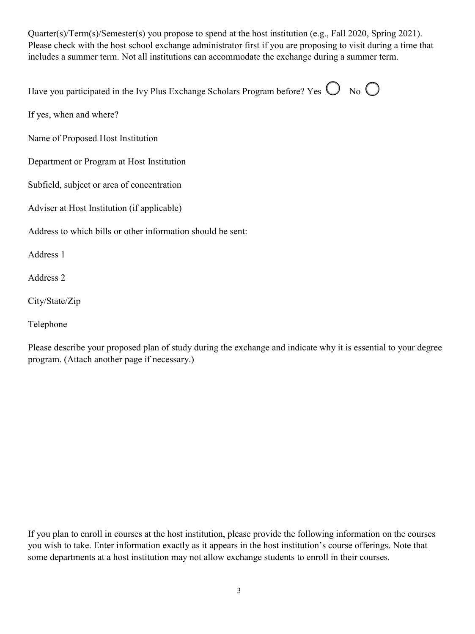Quarter(s)/Term(s)/Semester(s) you propose to spend at the host institution (e.g., Fall 2020, Spring 2021). Please check with the host school exchange administrator first if you are proposing to visit during a time that includes a summer term. Not all institutions can accommodate the exchange during a summer term.

| Have you participated in the Ivy Plus Exchange Scholars Program before? Yes $\bigcirc$ No $\bigcirc$ |  |  |
|------------------------------------------------------------------------------------------------------|--|--|
|------------------------------------------------------------------------------------------------------|--|--|

If yes, when and where?

Name of Proposed Host Institution

Department or Program at Host Institution

Subfield, subject or area of concentration

Adviser at Host Institution (if applicable)

Address to which bills or other information should be sent:

Address 1

Address 2

City/State/Zip

Telephone

Please describe your proposed plan of study during the exchange and indicate why it is essential to your degree program. (Attach another page if necessary.)

If you plan to enroll in courses at the host institution, please provide the following information on the courses you wish to take. Enter information exactly as it appears in the host institution's course offerings. Note that some departments at a host institution may not allow exchange students to enroll in their courses.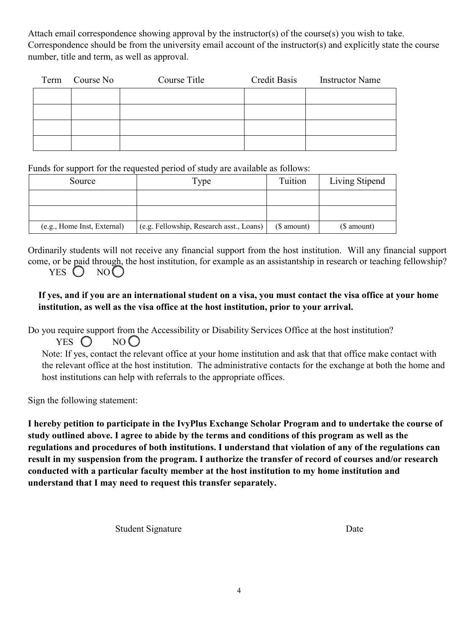Attach email correspondence showing approval by the instructor(s) of the course(s) you wish to take. Correspondence should be from the university email account of the instructor(s) and explicitly state the course number, title and term, as well as approval.

| Term Course No | Course Title | Credit Basis | <b>Instructor Name</b> |
|----------------|--------------|--------------|------------------------|
|                |              |              |                        |
|                |              |              |                        |
|                |              |              |                        |
|                |              |              |                        |

Funds for support for the requested period of study are available as follows:

| Source                      | Type                                     | Tuition     | Living Stipend |
|-----------------------------|------------------------------------------|-------------|----------------|
|                             |                                          |             |                |
|                             |                                          |             |                |
| (e.g., Home Inst, External) | (e.g. Fellowship, Research asst., Loans) | $$$ amount) | $$$ amount)    |

Ordinarily students will not receive any financial support from the host institution. Will any financial support come, or be paid through, the host institution, for example as an assistantship in research or teaching fellowship? YES  $()$  NO  $()$ 

# **If yes, and if you are an international student on a visa, you must contact the visa office at your home institution, as well as the visa office at the host institution, prior to your arrival.**

Do you require support from the Accessibility or Disability Services Office at the host institution? YES  $\bigcirc$  NO  $\bigcirc$ 

Note: If yes, contact the relevant office at your home institution and ask that that office make contact with the relevant office at the host institution. The administrative contacts for the exchange at both the home and host institutions can help with referrals to the appropriate offices.

Sign the following statement:

**I hereby petition to participate in the IvyPlus Exchange Scholar Program and to undertake the course of study outlined above. I agree to abide by the terms and conditions of this program as well as the regulations and procedures of both institutions. I understand that violation of any of the regulations can result in my suspension from the program. I authorize the transfer of record of courses and/or research conducted with a particular faculty member at the host institution to my home institution and understand that I may need to request this transfer separately.**

Student Signature Date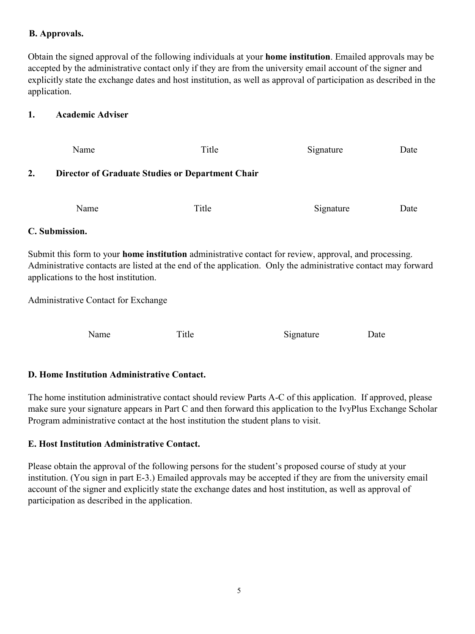## **B. Approvals.**

Obtain the signed approval of the following individuals at your **home institution**. Emailed approvals may be accepted by the administrative contact only if they are from the university email account of the signer and explicitly state the exchange dates and host institution, as well as approval of participation as described in the application.

## **1. Academic Adviser**

|    | Name                                             | Title | Signature | Date |  |
|----|--------------------------------------------------|-------|-----------|------|--|
| 2. | Director of Graduate Studies or Department Chair |       |           |      |  |
|    | Name                                             | Title | Signature | Date |  |

#### **C. Submission.**

Submit this form to your **home institution** administrative contact for review, approval, and processing. Administrative contacts are listed at the end of the application. Only the administrative contact may forward applications to the host institution.

Administrative Contact for Exchange

Name Title Signature Date

# **D. Home Institution Administrative Contact.**

The home institution administrative contact should review Parts A-C of this application. If approved, please make sure your signature appears in Part C and then forward this application to the IvyPlus Exchange Scholar Program administrative contact at the host institution the student plans to visit.

# **E. Host Institution Administrative Contact.**

Please obtain the approval of the following persons for the student's proposed course of study at your institution. (You sign in part E-3.) Emailed approvals may be accepted if they are from the university email account of the signer and explicitly state the exchange dates and host institution, as well as approval of participation as described in the application.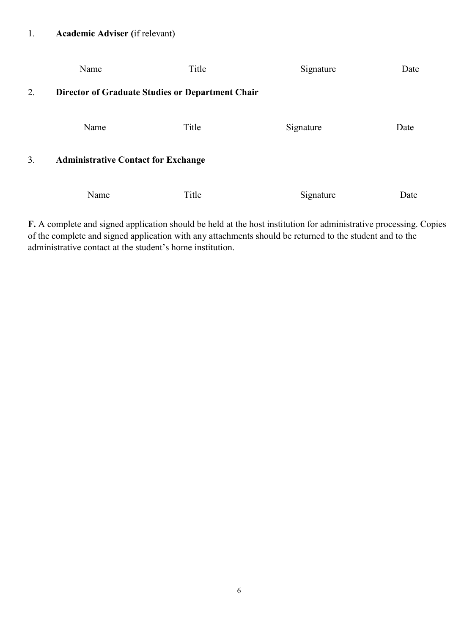|    | Name                                             | Title | Signature | Date |
|----|--------------------------------------------------|-------|-----------|------|
| 2. | Director of Graduate Studies or Department Chair |       |           |      |
|    | Name                                             | Title | Signature | Date |
| 3. | <b>Administrative Contact for Exchange</b>       |       |           |      |
|    | Name                                             | Title | Signature | Date |

**F.** A complete and signed application should be held at the host institution for administrative processing. Copies of the complete and signed application with any attachments should be returned to the student and to the administrative contact at the student's home institution.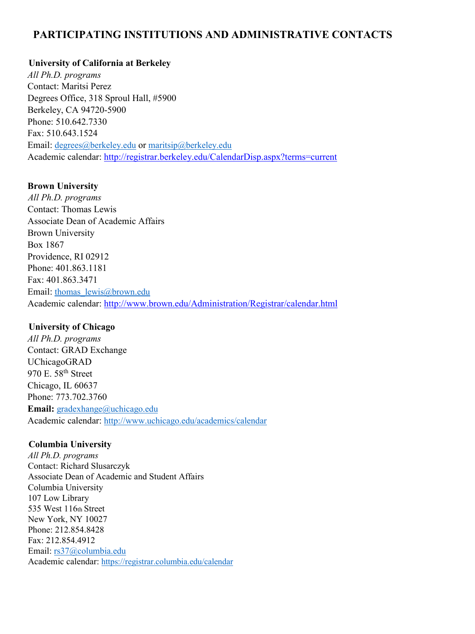# **PARTICIPATING INSTITUTIONS AND ADMINISTRATIVE CONTACTS**

#### **University of California at Berkeley**

*All Ph.D. programs*  Contact: Maritsi Perez Degrees Office, 318 Sproul Hall, #5900 Berkeley, CA 94720-5900 Phone: 510.642.7330 Fax: 510.643.1524 Email: [degrees@berkeley.edu](mailto:degrees@berkeley.edu) or [maritsip@berkeley.edu](mailto:maritsip@berkeley.edu) Academic calendar:<http://registrar.berkeley.edu/CalendarDisp.aspx?terms=current>

#### **Brown University**

*All Ph.D. programs*  Contact: Thomas Lewis Associate Dean of Academic Affairs Brown University Box 1867 Providence, RI 02912 Phone: 401.863.1181 Fax: 401.863.3471 Email: [thomas\\_lewis@brown.edu](mailto:thomas_lewis@brown.edu) Academic calendar:<http://www.brown.edu/Administration/Registrar/calendar.html>

#### **University of Chicago**

*All Ph.D. programs*  Contact: GRAD Exchange UChicagoGRAD 970 E. 58<sup>th</sup> Street Chicago, IL 60637 Phone: 773.702.3760 **Email:** [gradexhange@uchicago.edu](mailto:gradexhange@uchicago.edu) Academic calendar:<http://www.uchicago.edu/academics/calendar>

#### **Columbia University**

*All Ph.D. programs*  Contact: Richard Slusarczyk Associate Dean of Academic and Student Affairs Columbia University 107 Low Library 535 West 116th Street New York, NY 10027 Phone: 212.854.8428 Fax: 212.854.4912 Email: [rs37@columbia.edu](mailto:rs37@columbia.edu) Academic calenda[r: https://registrar.columbia.edu/calendar](http://www.registrar.columbia.edu/academic-calendar/6)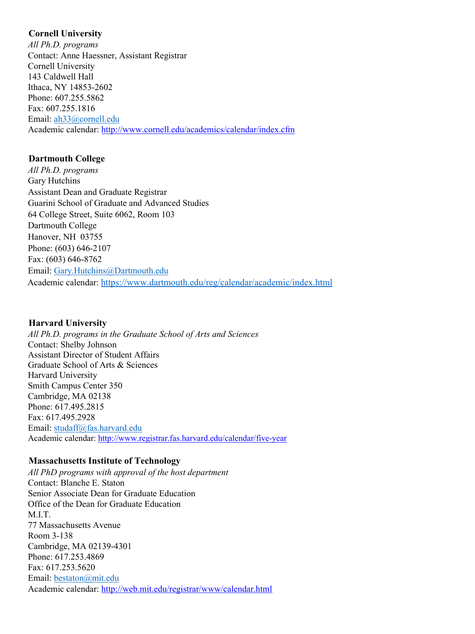### **Cornell University**

*All Ph.D. programs*  Contact: Anne Haessner, Assistant Registrar Cornell University 143 Caldwell Hall Ithaca, NY 14853-2602 Phone: 607.255.5862 Fax: 607.255.1816 Email: [ah33@cornell.edu](mailto:ah33@cornell.edu) Academic calendar:<http://www.cornell.edu/academics/calendar/index.cfm>

# **Dartmouth College**

*All Ph.D. programs*  Gary Hutchins Assistant Dean and Graduate Registrar Guarini School of Graduate and Advanced Studies 64 College Street, Suite 6062, Room 103 Dartmouth College Hanover, NH 03755 Phone: (603) 646-2107 Fax: (603) 646-8762 Email: [Gary.Hutchins@Dartmouth.edu](mailto:Gary.Hutchins@Dartmouth.edu) Academic calendar:<https://www.dartmouth.edu/reg/calendar/academic/index.html>

# **Harvard University**

*All Ph.D. programs in the Graduate School of Arts and Sciences*  Contact: Shelby Johnson Assistant Director of Student Affairs Graduate School of Arts & Sciences Harvard University Smith Campus Center 350 Cambridge, MA 02138 Phone: 617.495.2815 Fax: 617.495.2928 Email: [studaff@fas.harvard.edu](mailto:studaff@fas.harvard.edu) Academic calendar:<http://www.registrar.fas.harvard.edu/calendar/five-year>

# **Massachusetts Institute of Technology**

*All PhD programs with approval of the host department*  Contact: Blanche E. Staton Senior Associate Dean for Graduate Education Office of the Dean for Graduate Education M.I.T. 77 Massachusetts Avenue Room 3-138 Cambridge, MA 02139-4301 Phone: 617.253.4869 Fax: 617.253.5620 Email: [bestaton@mit.edu](mailto:bestaton@mit.edu) Academic calendar:<http://web.mit.edu/registrar/www/calendar.html>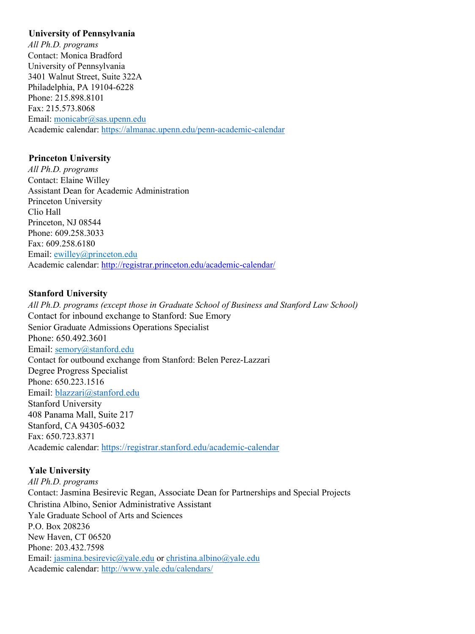#### **University of Pennsylvania**

*All Ph.D. programs*  Contact: Monica Bradford University of Pennsylvania 3401 Walnut Street, Suite 322A Philadelphia, PA 19104-6228 Phone: 215.898.8101 Fax: 215.573.8068 Email: [monicabr@sas.upenn.edu](mailto:monicabr@sas.upenn.edu) Academic calendar:<https://almanac.upenn.edu/penn-academic-calendar>

## **Princeton University**

*All Ph.D. programs*  Contact: Elaine Willey Assistant Dean for Academic Administration Princeton University Clio Hall Princeton, NJ 08544 Phone: 609.258.3033 Fax: 609.258.6180 Email: [ewilley@princeton.edu](mailto:ewilley@princeton.edu) Academic calendar:<http://registrar.princeton.edu/academic-calendar/>

## **Stanford University**

*All Ph.D. programs (except those in Graduate School of Business and Stanford Law School)* Contact for inbound exchange to Stanford: Sue Emory Senior Graduate Admissions Operations Specialist Phone: 650.492.3601 Email: semory@stanford.edu Contact for outbound exchange from Stanford: Belen Perez-Lazzari Degree Progress Specialist Phone: 650.223.1516 Email: [blazzari@stanford.edu](mailto:blazzari@stanford.edu) Stanford University 408 Panama Mall, Suite 217 Stanford, CA 94305-6032 Fax: 650.723.8371 Academic calendar:<https://registrar.stanford.edu/academic-calendar>

# **Yale University**

*All Ph.D. programs* Contact: Jasmina Besirevic Regan, Associate Dean for Partnerships and Special Projects Christina Albino, Senior Administrative Assistant Yale Graduate School of Arts and Sciences P.O. Box 208236 New Haven, CT 06520 Phone: 203.432.7598 Email: [jasmina.besirevic@yale.edu](mailto:jasmina.besirevic@yale.edu) or [christina.albino@yale.edu](mailto:christina.albino@yale.edu) Academic calendar:<http://www.yale.edu/calendars/>